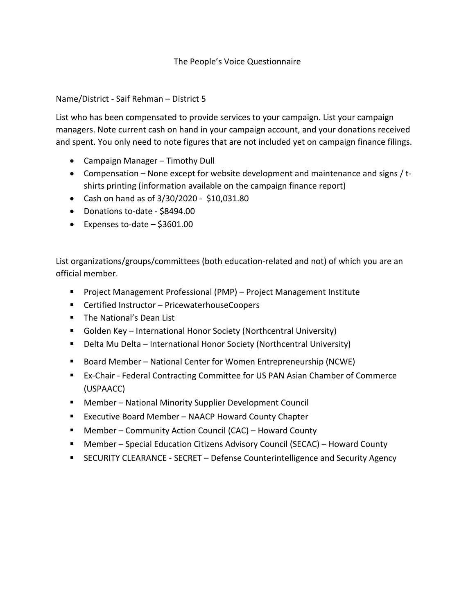## The People's Voice Questionnaire

## Name/District - Saif Rehman – District 5

List who has been compensated to provide services to your campaign. List your campaign managers. Note current cash on hand in your campaign account, and your donations received and spent. You only need to note figures that are not included yet on campaign finance filings.

- Campaign Manager Timothy Dull
- Compensation None except for website development and maintenance and signs / tshirts printing (information available on the campaign finance report)
- Cash on hand as of 3/30/2020 \$10,031.80
- Donations to-date \$8494.00
- Expenses to-date  $-$  \$3601.00

List organizations/groups/committees (both education-related and not) of which you are an official member.

- Project Management Professional (PMP) Project Management Institute
- Certified Instructor PricewaterhouseCoopers
- The National's Dean List
- Golden Key International Honor Society (Northcentral University)
- Delta Mu Delta International Honor Society (Northcentral University)
- Board Member National Center for Women Entrepreneurship (NCWE)
- Ex-Chair Federal Contracting Committee for US PAN Asian Chamber of Commerce (USPAACC)
- Member National Minority Supplier Development Council
- Executive Board Member NAACP Howard County Chapter
- Member Community Action Council (CAC) Howard County
- Member Special Education Citizens Advisory Council (SECAC) Howard County
- SECURITY CLEARANCE SECRET Defense Counterintelligence and Security Agency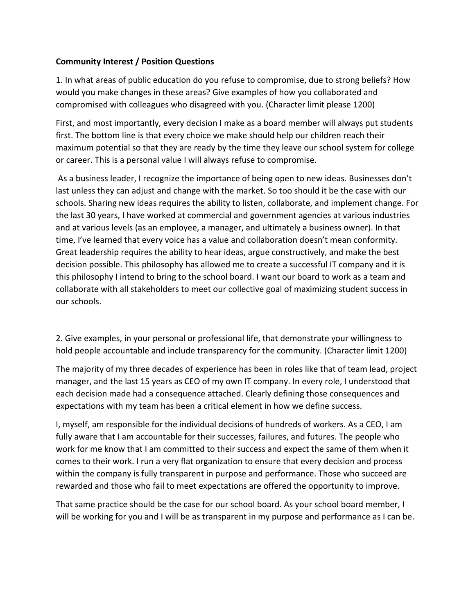## **Community Interest / Position Questions**

1. In what areas of public education do you refuse to compromise, due to strong beliefs? How would you make changes in these areas? Give examples of how you collaborated and compromised with colleagues who disagreed with you. (Character limit please 1200)

First, and most importantly, every decision I make as a board member will always put students first. The bottom line is that every choice we make should help our children reach their maximum potential so that they are ready by the time they leave our school system for college or career. This is a personal value I will always refuse to compromise.

As a business leader, I recognize the importance of being open to new ideas. Businesses don't last unless they can adjust and change with the market. So too should it be the case with our schools. Sharing new ideas requires the ability to listen, collaborate, and implement change. For the last 30 years, I have worked at commercial and government agencies at various industries and at various levels (as an employee, a manager, and ultimately a business owner). In that time, I've learned that every voice has a value and collaboration doesn't mean conformity. Great leadership requires the ability to hear ideas, argue constructively, and make the best decision possible. This philosophy has allowed me to create a successful IT company and it is this philosophy I intend to bring to the school board. I want our board to work as a team and collaborate with all stakeholders to meet our collective goal of maximizing student success in our schools.

2. Give examples, in your personal or professional life, that demonstrate your willingness to hold people accountable and include transparency for the community. (Character limit 1200)

The majority of my three decades of experience has been in roles like that of team lead, project manager, and the last 15 years as CEO of my own IT company. In every role, I understood that each decision made had a consequence attached. Clearly defining those consequences and expectations with my team has been a critical element in how we define success.

I, myself, am responsible for the individual decisions of hundreds of workers. As a CEO, I am fully aware that I am accountable for their successes, failures, and futures. The people who work for me know that I am committed to their success and expect the same of them when it comes to their work. I run a very flat organization to ensure that every decision and process within the company is fully transparent in purpose and performance. Those who succeed are rewarded and those who fail to meet expectations are offered the opportunity to improve.

That same practice should be the case for our school board. As your school board member, I will be working for you and I will be as transparent in my purpose and performance as I can be.